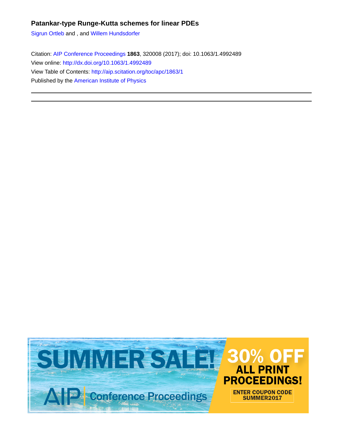# **Patankar-type Runge-Kutta schemes for linear PDEs**

[Sigrun Ortleb](http://aip.scitation.org/author/Ortleb%2C+Sigrun) and , and [Willem Hundsdorfer](http://aip.scitation.org/author/Hundsdorfer%2C+Willem)

Citation: [AIP Conference Proceedings](/loi/apc) **1863**, 320008 (2017); doi: 10.1063/1.4992489 View online: <http://dx.doi.org/10.1063/1.4992489> View Table of Contents: <http://aip.scitation.org/toc/apc/1863/1> Published by the [American Institute of Physics](http://aip.scitation.org/publisher/)

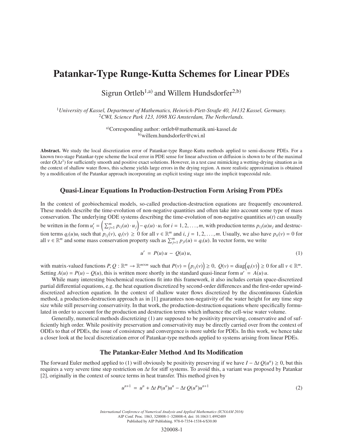# **Patankar-Type Runge-Kutta Schemes for Linear PDEs**

Sigrun Ortleb<sup>1,a)</sup> and Willem Hundsdorfer<sup>2,b)</sup>

<sup>1</sup>*University of Kassel, Department of Mathematics, Heinrich-Plett-Straße 40, 34132 Kassel, Germany.* <sup>2</sup>*CWI, Science Park 123, 1098 XG Amsterdam, The Netherlands.*

> a)Corresponding author: ortleb@mathematik.uni-kassel.de b)willem.hundsdorfer@cwi.nl

**Abstract.** We study the local discretization error of Patankar-type Runge-Kutta methods applied to semi-discrete PDEs. For a known two-stage Patankar-type scheme the local error in PDE sense for linear advection or diffusion is shown to be of the maximal order  $O(\Delta t^3)$  for sufficiently smooth and positive exact solutions. However, in a test case mimicking a wetting-drying situation as in the context of shallow water flows, this scheme yields large errors in the drying region. A more realistic approximation is obtained by a modification of the Patankar approach incorporating an explicit testing stage into the implicit trapezoidal rule.

#### **Quasi-Linear Equations In Production-Destruction Form Arising From PDEs**

In the context of geobiochemical models, so-called production-destruction equations are frequently encountered. These models describe the time-evolution of non-negative quantities and often take into account some type of mass conservation. The underlying ODE systems describing the time-evolution of non-negative quantities  $u(t)$  can usually be written in the form  $u'_i = \left(\sum_{j=1}^m p_{ij}(u) \cdot u_j\right) - q_i(u) \cdot u_i$  for  $i = 1, 2, ..., m$ , with production terms  $p_{ij}(u)u_j$  and destruction terms  $q_i(u)u_i$  such that  $p_{ij}(v)$ ,  $q_i(v) \ge 0$  for all  $v \in \mathbb{R}^m$  and  $i, j = 1, 2, ..., m$ . Usually, we also have  $p_{ii}(v) = 0$  for all  $v \in \mathbb{R}^m$  and some mass conservation property such as  $\sum_{j=1}^m p_{ji}(u) = q_i(u)$ . In vector form, we write

$$
u' = P(u)u - Q(u)u, \tag{1}
$$

with matrix-valued functions  $P, Q : \mathbb{R}^m \to \mathbb{R}^{m \times m}$  such that  $P(v) = (p_{ij}(v)) \ge 0$ ,  $Q(v) = \text{diag}(q_i(v)) \ge 0$  for all  $v \in \mathbb{R}^m$ . Setting  $A(u) = P(u) - Q(u)$ , this is written more shortly in the standard quasi-linear form  $u' = A(u) u$ .

While many interesting biochemical reactions fit into this framework, it also includes certain space-discretized partial differential equations, e.g. the heat equation discretized by second-order differences and the first-order upwinddiscretized advection equation. In the context of shallow water flows discretized by the discontinuous Galerkin method, a production-destruction approach as in [1] guarantees non-negativity of the water height for any time step size while still preserving conservativity. In that work, the production-destruction equations where specifically formulated in order to account for the production and destruction terms which influence the cell-wise water volume.

Generally, numerical methods discretizing (1) are supposed to be positivity preserving, conservative and of sufficiently high order. While positivity preservation and conservativity may be directly carried over from the context of ODEs to that of PDEs, the issue of consistency and convergence is more subtle for PDEs. In this work, we hence take a closer look at the local discretization error of Patankar-type methods applied to systems arising from linear PDEs.

#### **The Patankar-Euler Method And Its Modification**

The forward Euler method applied to (1) will obviously be positivity preserving if we have  $I - \Delta t Q(u^n) \ge 0$ , but this requires a very severe time step restriction on Δ*t* for stiff systems. To avoid this, a variant was proposed by Patankar [2], originally in the context of source terms in heat transfer. This method given by

$$
u^{n+1} = u^n + \Delta t \, P(u^n)u^n - \Delta t \, Q(u^n)u^{n+1} \tag{2}
$$

*International Conference of Numerical Analysis and Applied Mathematics (ICNAAM 2016)* AIP Conf. Proc. 1863, 320008-1–320008-4; doi: 10.1063/1.4992489 Published by AIP Publishing. 978-0-7354-1538-6/\$30.00

#### 320008-1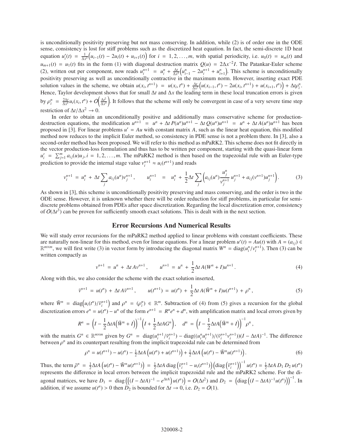is unconditionally positivity preserving but not mass conserving. In addition, while (2) is of order one in the ODE sense, consistency is lost for stiff problems such as the discretized heat equation. In fact, the semi-discrete 1D heat equation  $u'_i(t) = \frac{1}{\Delta x^2} (u_{i-1}(t) - 2u_i(t) + u_{i+1}(t))$  for  $i = 1, 2, ..., m$ , with spatial periodicity, i.e.  $u_0(t) = u_m(t)$  and  $u_{m+1}(t) = u_1(t)$  fits in the form (1) with diagonal destruction matrix  $Q(u) = 2\Delta x^{-2}I$ . The Patankar-Euler scheme (2), written out per component, now reads  $u_i^{n+1} = u_i^n + \frac{\Delta t}{\Delta x^2} (u_{i-1}^n - 2u_i^{n+1} + u_{i+1}^n)$ . This scheme is unconditionally positivity preserving as well as unconditionally contractive in the maximum norm. However, inserting exact PDE solution values in the scheme, we obtain  $u(x_i, t^{n+1}) = u(x_i, t^n) + \frac{\Delta t}{\Delta x^2} \Big( u(x_{i-1}, t^n) - 2u(x_i, t^{n+1}) + u(x_{i+1}, t^n) \Big) + \Delta t \rho_i^n$ . Hence, Taylor development shows that for small  $\Delta t$  and  $\Delta x$  the leading term in these local truncation errors is given by  $\rho_i^n = \frac{2\Delta t}{\Delta x^2} u_t(x_i, t^n) + O\left(\frac{\Delta t^2}{\Delta x^2}\right)$ Δ*x*<sup>2</sup> . It follows that the scheme will only be convergent in case of a very severe time step restriction of  $\Delta t / \Delta x^2 \rightarrow 0$ .

In order to obtain an unconditionally positive and additionally mass conservative scheme for productiondestruction equations, the modification  $u^{n+1} = u^n + \Delta t P(u^n)u^{n+1} - \Delta t Q(u^n)u^{n+1} = u^n + \Delta t A(u^n)u^{n+1}$  has been proposed in [3]. For linear problems  $u' = Au$  with constant matrix A, such as the linear heat equation, this modified method now reduces to the implicit Euler method, so consistency in PDE sense is not a problem there. In [3], also a second-order method has been proposed. We will refer to this method as mPaRK2. This scheme does not fit directly in the vector production-loss formulation and thus has to be written per component, starting with the quasi-linear form  $u'_i = \sum_{j=1}^m a_{ij}(u)u_j$ ,  $i = 1, 2, ..., m$ . The mPaRK2 method is then based on the trapezoidal rule with an Euler-type prediction to provide the internal stage value  $v_i^{n+1} \approx u_i(t^{n+1})$  and reads

$$
v_i^{n+1} = u_i^n + \Delta t \sum_j a_{ij}(u^n) v_j^{n+1}, \qquad u_i^{n+1} = u_i^n + \frac{1}{2} \Delta t \sum_j \left( a_{ij}(u^n) \frac{u_j^n}{v_j^{n+1}} u_j^{n+1} + a_{ij}(v^{n+1}) u_j^{n+1} \right). \tag{3}
$$

As shown in [3], this scheme is unconditionally positivity preserving and mass conserving, and the order is two in the ODE sense. However, it is unknown whether there will be order reduction for stiff problems, in particular for semidiscrete problems obtained from PDEs after space discretization. Regarding the local discretization error, consistency of  $O(\Delta t^3)$  can be proven for sufficiently smooth exact solutions. This is dealt with in the next section.

#### **Error Recursions And Numerical Results**

We will study error recursions for the mPaRK2 method applied to linear problems with constant coefficients. These are naturally non-linear for this method, even for linear equations. For a linear problem  $u'(t) = Au(t)$  with  $A = (a_{ij}) \in$  $\mathbb{R}^{m \times m}$ , we will first write (3) in vector form by introducing the diagonal matrix  $W^n = \text{diag}(u_i^n/v_i^{n+1})$ . Then (3) can be written compactly as

$$
v^{n+1} = u^n + \Delta t A v^{n+1}, \qquad u^{n+1} = u^n + \frac{1}{2} \Delta t A (W^n + I) u^{n+1}.
$$
 (4)

Along with this, we also consider the scheme with the exact solution inserted,

$$
\bar{v}^{n+1} = u(t^n) + \Delta t A \bar{v}^{n+1}, \qquad u(t^{n+1}) = u(t^n) + \frac{1}{2} \Delta t A (\bar{W}^n + I) u(t^{n+1}) + \rho^n, \tag{5}
$$

where  $\bar{W}^n = \text{diag}(u_i(t^n)/\bar{v}_i^{n+1})$  and  $\rho^n = (\rho_i^n) \in \mathbb{R}^m$ . Subtraction of (4) from (5) gives a recursion for the global discretization errors  $e^n = u(t^n) - u^n$  of the form  $e^{n+1} = R^n e^n + d^n$ , with amplification matrix and local errors given by

$$
R^n = \left(I - \frac{1}{2}\Delta t A(\bar{W}^n + I)\right)^{-1} \left(I + \frac{1}{2}\Delta t A G^n\right), \quad d^n = \left(I - \frac{1}{2}\Delta t A(\bar{W}^n + I)\right)^{-1} \rho^n,
$$

with the matrix  $G^n \in \mathbb{R}^{m \times m}$  given by  $G^n = \text{diag}(u_i^{n+1}/\bar{v}_i^{n+1}) - \text{diag}((u_i^n u_i^{n+1})/(\bar{v}_i^{n+1} v_i^{n+1}))(I - \Delta t A)^{-1}$ . The difference between  $\rho^n$  and its counterpart resulting from the implicit trapezoidal rule can be determined from

$$
\rho^n = u(t^{n+1}) - u(t^n) - \frac{1}{2}\Delta t A \left( u(t^n) + u(t^{n+1}) \right) + \frac{1}{2}\Delta t A \left( u(t^n) - \bar{W}^n u(t^{n+1}) \right). \tag{6}
$$

Thus, the term  $\tilde{\rho}^n = \frac{1}{2}\Delta t A \left( u(t^n) - \bar{W}^n u(t^{n+1}) \right) = \frac{1}{2}\Delta t A \text{ diag} \left( \bar{v}_i^{n+1} - u_i(t^{n+1}) \right) \left( \text{diag} \left( \bar{v}_i^{n+1} \right) \right)^{-1} u(t^n) = \frac{1}{2}\Delta t A D_1 D_2 u(t^n)$ represents the difference in local errors between the implicit trapezoidal rule and the mPaRK2 scheme. For the diagonal matrices, we have  $D_1 = \text{diag}\left(\left((I - \Delta t A)^{-1} - e^{\Delta t A}\right)u(t^n)\right) = O(\Delta t^2)$  and  $D_2 = \left(\text{diag}\left((I - \Delta t A)^{-1}u(t^n)\right)\right)^{-1}$ . In addition, if we assume  $u(t^n) > 0$  then  $D_2$  is bounded for  $\Delta t \rightarrow 0$ , i.e.  $D_2 = O(1)$ .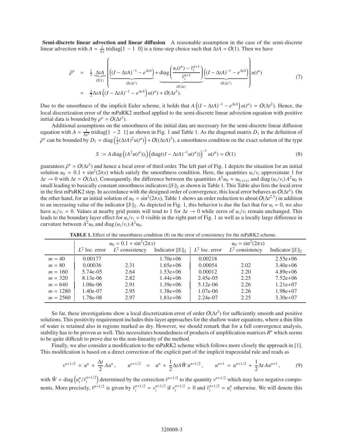**Semi-discrete linear advection and linear diffusion** A reasonable assumption in the case of the semi-discrete linear advection with  $A = \frac{1}{\Delta x}$  tridiag[1 – 1 0] is a time-step choice such that  $\Delta t A = O(1)$ . Then we have

$$
\tilde{\rho}^n = \frac{1}{2} \underbrace{\Delta t A}_{O(1)} \left( \underbrace{\left( (I - \Delta t A)^{-1} - e^{\Delta t A} \right)}_{O(\Delta t^2)} + \underbrace{\text{diag} \left( \frac{u_i(t^n) - \bar{v}_i^{n+1}}{\bar{v}_i^{n+1}} \right)}_{O(\Delta t)} \underbrace{\left( (I - \Delta t A)^{-1} - e^{\Delta t A} \right)}_{O(\Delta t^2)} \right) u(t^n)
$$
\n
$$
= \frac{1}{2} \Delta t A \left( (I - \Delta t A)^{-1} - e^{\Delta t A} \right) u(t^n) + O(\Delta t^3).
$$
\n(7)

Due to the smoothness of the implicit Euler scheme, it holds that  $A((I - \Delta t A)^{-1} - e^{\Delta t A})u(t^n) = O(\Delta t^2)$ . Hence, the local discretization error of the mPaRK2 method applied to the semi-discrete linear advection equation with positive initial data is bounded by  $\rho^n = O(\Delta t^3)$ .

Additional assumptions on the smoothness of the initial data are necessary for the semi-discrete linear diffusion equation with  $A = \frac{1}{\Delta x^2}$  tridiag[1 – 2 1] as shown in Fig. 1 and Table 1. As the diagonal matrix  $D_1$  in the definition of  $\tilde{\rho}^n$  can be bounded by  $D_1 = \text{diag}\left(\frac{1}{2}(\Delta t A)^2 u(t^n)\right) + O((\Delta t A)^3)$ , a smoothness condition on the exact solution of the type

$$
S := A \operatorname{diag} \left( (A^2 u(t^n))_i \right) \left( \operatorname{diag} ((I - \Delta t A)^{-1} u(t^n)) \right)^{-1} u(t^n) = O(1) \tag{8}
$$

guarantees  $\tilde{\rho}^n = O(\Delta t^3)$  and hence a local error of third order. The left part of Fig. 1 depicts the situation for an initial solution  $u_0 = 0.1 + \sin^2(2\pi x)$  which satisfy the smoothness condition. Here, the quantities  $u_i/v_i$  approximate 1 for  $\Delta t \to 0$  with  $\Delta t = O(\Delta x)$ . Consequently, the difference between the quantities  $A^2 u_0 \approx u_{0,xxxx}$  and diag  $(u_i/v_i) A^2 u_0$  is small leading to basically constant smoothness indicators  $||S||_2$  as shown in Table 1. This Table also lists the local error in the first mPaRK2 step. In accordance with the designed order of convergence, this local error behaves as O(Δ*t* 3). On the other hand, for an initial solution of  $u_0 = \sin^2(2\pi x)$ , Table 1 shows an order reduction to about  $O(\Delta t^{2.3})$  in addition to an increasing value of the indicator  $||S||_2$ . As depicted in Fig. 1, this behavior is due the fact that for  $u_i = 0$ , we also have  $u_i/v_i = 0$ . Values at nearby grid points will tend to 1 for  $\Delta t \to 0$  while zeros of  $u_i/v_i$  remain unchanged. This leads to the boundary layer effect for  $u_i/v_i = 0$  visible in the right part of Fig. 1 as well as a locally large difference in curvature between  $A^2u_0$  and diag  $(u_i/v_i)A^2u_0$ .

|            | $u_0 = 0.1 + \sin^2(2\pi x)$ |                   |                     | $u_0 = \sin^2(2\pi x)$ |                   |                     |
|------------|------------------------------|-------------------|---------------------|------------------------|-------------------|---------------------|
|            | $L^2$ loc. error             | $L^2$ consistency | Indicator $  S  _2$ | $L^2$ loc. error       | $L^2$ consistency | Indicator $  S  _2$ |
| $m = 40$   | 0.00177                      |                   | $1.70e+06$          | 0.00218                |                   | $2.55e+06$          |
| $m = 80$   | 0.00036                      | 2.31              | $1.65e+06$          | 0.00054                | 2.02              | $3.40e+06$          |
| $m = 160$  | 5.74e-05                     | 2.64              | $1.53e+06$          | 0.00012                | 2.20              | $4.89e+06$          |
| $m = 320$  | 8.13e-06                     | 2.82              | $1.44e+06$          | 2.45e-05               | 2.25              | $7.52e+06$          |
| $m = 640$  | 1.08e-06                     | 2.91              | $1.39e+06$          | $5.12e-06$             | 2.26              | $1.21e+07$          |
| $m = 1280$ | 1.40e-07                     | 2.95              | $1.38e+06$          | $1.07e-06$             | 2.26              | $1.98e+07$          |
| $m = 2560$ | 1.78e-08                     | 2.97              | $1.81e+06$          | 2.24e-07               | 2.25              | $3.30e+07$          |

**TABLE 1.** Effect of the smoothness condition (8) on the error of consistency for the mPaRK2 scheme.

So far, these investigations show a local discretization error of order  $O(\Delta t^3)$  for sufficiently smooth and positive solutions. This positivity requirement includes thin-layer approaches for the shallow water equations, where a thin film of water is retained also in regions marked as dry. However, we should remark that for a full convergence analysis, stability has to be proven as well. This necessitates boundedness of products of amplification matrices *R<sup>n</sup>* which seems to be quite difficult to prove due to the non-linearity of the method.

Finally, we also consider a modification to the mPaRK2 scheme which follows more closely the approach in [1]. This modification is based on a direct correction of the explicit part of the implicit trapezoidal rule and reads as

$$
v^{n+1/2} = u^n + \frac{\Delta t}{2} A u^n, \qquad u^{n+1/2} = u^n + \frac{1}{2} \Delta t A \tilde{W} u^{n+1/2}, \qquad u^{n+1} = u^{n+1/2} + \frac{1}{2} \Delta t A u^{n+1}, \tag{9}
$$

with  $\tilde{W} = \text{diag}\left(u_i^n / \tilde{v}_i^{n+1/2}\right)$  determined by the correction  $\tilde{v}^{n+1/2}$  to the quantity  $v^{n+1/2}$  which may have negative components. More precisely,  $\tilde{v}^{n+1/2}$  is given by  $\tilde{v}_i^{n+1/2} = v_i^{n+1/2}$  if  $v_i^{n+1/2} > 0$  and  $\tilde{v}_i^{n+1/2} = u_i^n$  otherwise. We will denote this